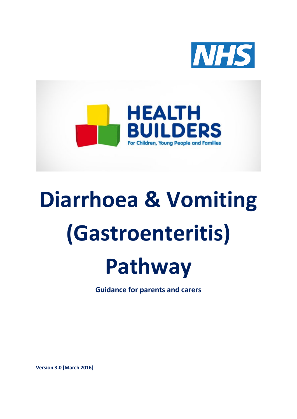



# **Diarrhoea & Vomiting (Gastroenteritis)**



**Guidance for parents and carers**

**Version 3.0 [March 2016]**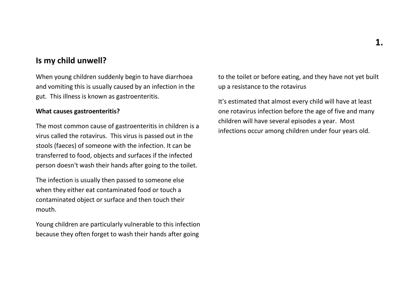#### **Is my child unwell?**

When young children suddenly begin to have diarrhoea and vomiting this is usually caused by an infection in the gut. This illness is known as gastroenteritis.

#### **What causes gastroenteritis?**

The most common cause of gastroenteritis in children is a virus called the rotavirus. This virus is passed out in the stools (faeces) of someone with the infection. It can be transferred to food, objects and surfaces if the infected person doesn't wash their hands after going to the toilet.

The infection is usually then passed to someone else when they either eat contaminated food or touch a contaminated object or surface and then touch their mouth.

Young children are particularly vulnerable to this infection because they often forget to wash their hands after going

to the toilet or before eating, and they have not yet built up a resistance to the rotavirus

It's estimated that almost every child will have at least one rotavirus infection before the age of five and many children will have several episodes a year. Most infections occur among children under four years old.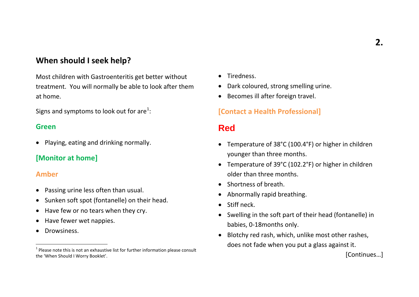# **When should I seek help?**

Most children with Gastroenteritis get better without treatment. You will normally be able to look after them at home.

Signs and symptoms to look out for are $^1$  $^1$ :

#### **Green**

• Playing, eating and drinking normally.

#### **[Monitor at home]**

#### **Amber**

- Passing urine less often than usual.
- Sunken soft spot (fontanelle) on their head.
- Have few or no tears when they cry.
- Have fewer wet nappies.
- Drowsiness.

 $\overline{a}$ 

- <span id="page-2-0"></span>• Tiredness.
- Dark coloured, strong smelling urine.
- Becomes ill after foreign travel.

#### **[Contact a Health Professional]**

# **Red**

- Temperature of 38°C (100.4°F) or higher in children younger than three months.
- Temperature of 39°C (102.2°F) or higher in children older than three months.
- Shortness of breath.
- Abnormally rapid breathing.
- Stiff neck.
- Swelling in the soft part of their head (fontanelle) in babies, 0-18months only.
- Blotchy red rash, which, unlike most other rashes, does not fade when you put a glass against it.

[Continues…]

 $1$  Please note this is not an exhaustive list for further information please consult the 'When Should I Worry Booklet'.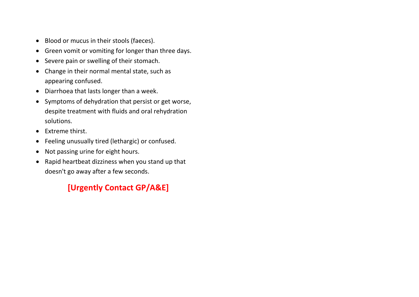- Blood or mucus in their stools (faeces).
- Green vomit or vomiting for longer than three days.
- Severe pain or swelling of their stomach.
- Change in their normal mental state, such as appearing confused.
- Diarrhoea that lasts longer than a week.
- Symptoms of dehydration that persist or get worse, despite treatment with fluids and oral rehydration solutions.
- Extreme thirst.
- Feeling unusually tired (lethargic) or confused.
- Not passing urine for eight hours.
- Rapid heartbeat dizziness when you stand up that doesn't go away after a few seconds.

# **[Urgently Contact GP/A&E]**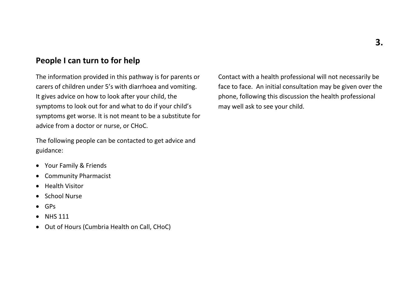### **People I can turn to for help**

The information provided in this pathway is for parents or carers of children under 5's with diarrhoea and vomiting. It gives advice on how to look after your child, the symptoms to look out for and what to do if your child's symptoms get worse. It is not meant to be a substitute for advice from a doctor or nurse, or CHoC.

The following people can be contacted to get advice and guidance:

- Your Family & Friends
- Community Pharmacist
- Health Visitor
- School Nurse
- GPs
- NHS 111
- Out of Hours (Cumbria Health on Call, CHoC)

Contact with a health professional will not necessarily be face to face. An initial consultation may be given over the phone, following this discussion the health professional may well ask to see your child.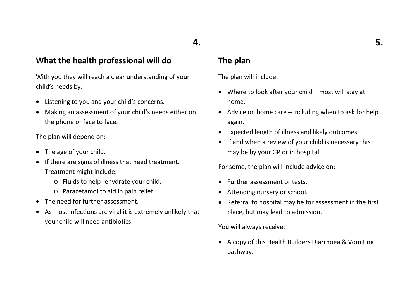# **4.**

#### **What the health professional will do**

With you they will reach a clear understanding of your child's needs by:

- Listening to you and your child's concerns.
- Making an assessment of your child's needs either on the phone or face to face.

The plan will depend on:

- The age of your child.
- If there are signs of illness that need treatment. Treatment might include:
	- o Fluids to help rehydrate your child.
	- o Paracetamol to aid in pain relief.
- The need for further assessment.
- As most infections are viral it is extremely unlikely that your child will need antibiotics.

#### **The plan**

The plan will include:

- Where to look after your child most will stay at home.
- Advice on home care including when to ask for help again.
- Expected length of illness and likely outcomes.
- If and when a review of your child is necessary this may be by your GP or in hospital.

For some, the plan will include advice on:

- Further assessment or tests.
- Attending nursery or school.
- Referral to hospital may be for assessment in the first place, but may lead to admission.

You will always receive:

• A copy of this Health Builders Diarrhoea & Vomiting pathway.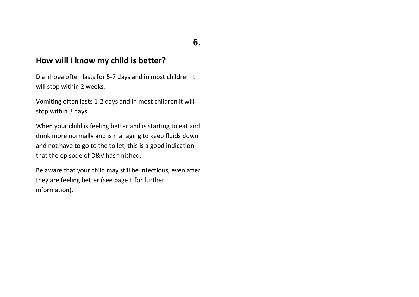# **How will I know my child is better?**

Diarrhoea often lasts for 5-7 days and in most children it will stop within 2 weeks.

Vomiting often lasts 1-2 days and in most children it will stop within 3 days.

When your child is feeling better and is starting to eat and drink more normally and is managing to keep fluids down and not have to go to the toilet, this is a good indication that the episode of D&V has finished.

Be aware that your child may still be infectious, even after they are feeling better (see page E for further information).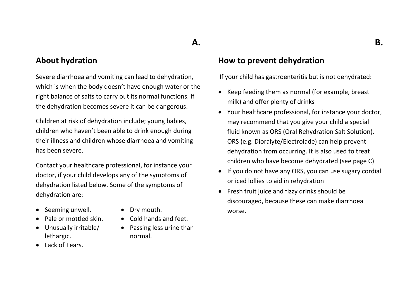# **A.**

#### **About hydration**

Severe diarrhoea and vomiting can lead to dehydration, which is when the body doesn't have enough water or the right balance of salts to carry out its normal functions. If the dehydration becomes severe it can be dangerous.

Children at risk of dehydration include; young babies, children who haven't been able to drink enough during their illness and children whose diarrhoea and vomiting has been severe.

Contact your healthcare professional, for instance your doctor, if your child develops any of the symptoms of dehydration listed below. Some of the symptoms of dehydration are:

- Seeming unwell. Dry mouth.
- Pale or mottled skin. Cold hands and feet.
- Unusually irritable/ lethargic.
- Lack of Tears.
- 
- 
- Passing less urine than normal.

#### **How to prevent dehydration**

If your child has gastroenteritis but is not dehydrated:

- Keep feeding them as normal (for example, breast milk) and offer plenty of drinks
- Your healthcare professional, for instance your doctor, may recommend that you give your child a special fluid known as ORS (Oral Rehydration Salt Solution). ORS (e.g. Dioralyte/Electrolade) can help prevent dehydration from occurring. It is also used to treat children who have become dehydrated (see page C)
- If you do not have any ORS, you can use sugary cordial or iced lollies to aid in rehydration
- Fresh fruit juice and fizzy drinks should be discouraged, because these can make diarrhoea worse.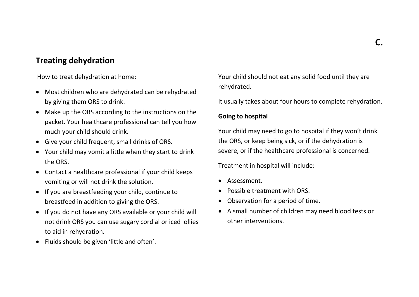# **Treating dehydration**

How to treat dehydration at home:

- Most children who are dehydrated can be rehydrated by giving them ORS to drink.
- Make up the ORS according to the instructions on the packet. Your healthcare professional can tell you how much your child should drink.
- Give your child frequent, small drinks of ORS.
- Your child may vomit a little when they start to drink the ORS.
- Contact a healthcare professional if your child keeps vomiting or will not drink the solution.
- If you are breastfeeding your child, continue to breastfeed in addition to giving the ORS.
- If you do not have any ORS available or your child will not drink ORS you can use sugary cordial or iced lollies to aid in rehydration.
- Fluids should be given 'little and often'.

Your child should not eat any solid food until they are rehydrated.

It usually takes about four hours to complete rehydration.

#### **Going to hospital**

Your child may need to go to hospital if they won't drink the ORS, or keep being sick, or if the dehydration is severe, or if the healthcare professional is concerned.

Treatment in hospital will include:

- Assessment.
- Possible treatment with ORS.
- Observation for a period of time.
- A small number of children may need blood tests or other interventions.